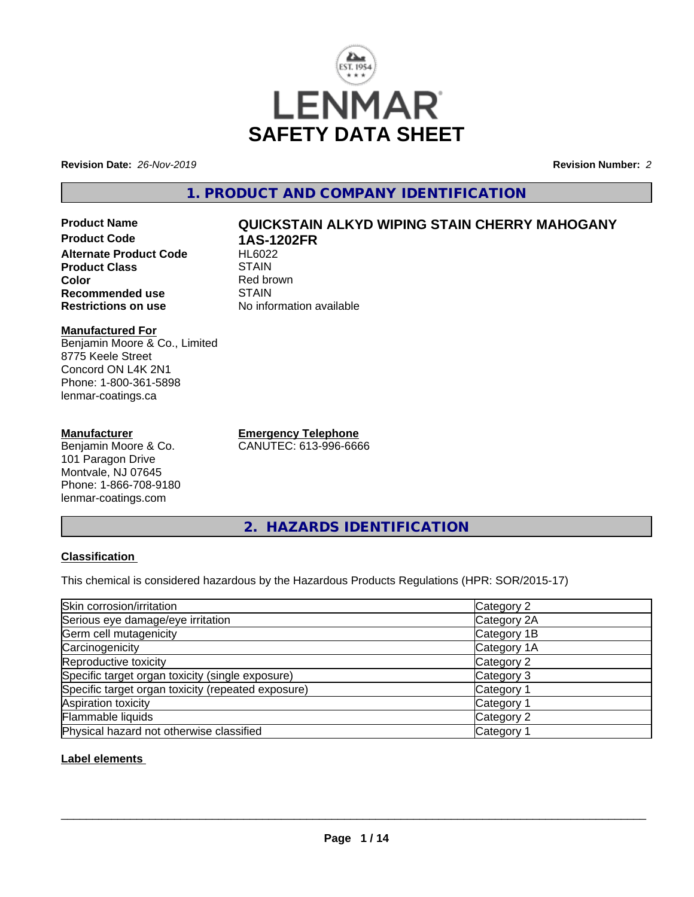

**Revision Date:** *26-Nov-2019* **Revision Number:** *2*

# **1. PRODUCT AND COMPANY IDENTIFICATION**

**Product Name QUICKSTAIN ALKYD WIPING STAIN CHERRY MAHOGANY Product Code 1AS-1202FR Alternate Product Code Product Class STAIN Color**<br> **Recommended use**<br> **COLORER STAIN Recommended use**<br>Restrictions on use

#### **Manufactured For** Benjamin Moore & Co., Limited 8775 Keele Street Concord ON L4K 2N1 Phone: 1-800-361-5898 lenmar-coatings.ca

## **Manufacturer**

Benjamin Moore & Co. 101 Paragon Drive Montvale, NJ 07645 Phone: 1-866-708-9180 lenmar-coatings.com

**Emergency Telephone** CANUTEC: 613-996-6666

**No information available** 

**2. HAZARDS IDENTIFICATION**

## **Classification**

This chemical is considered hazardous by the Hazardous Products Regulations (HPR: SOR/2015-17)

| Skin corrosion/irritation                          | Category 2            |
|----------------------------------------------------|-----------------------|
| Serious eye damage/eye irritation                  | Category 2A           |
| Germ cell mutagenicity                             | Category 1B           |
| Carcinogenicity                                    | Category 1A           |
| Reproductive toxicity                              | Category 2            |
| Specific target organ toxicity (single exposure)   | Category 3            |
| Specific target organ toxicity (repeated exposure) | Category 1            |
| Aspiration toxicity                                | Category <sup>2</sup> |
| Flammable liquids                                  | Category 2            |
| Physical hazard not otherwise classified           | Category              |

## **Label elements**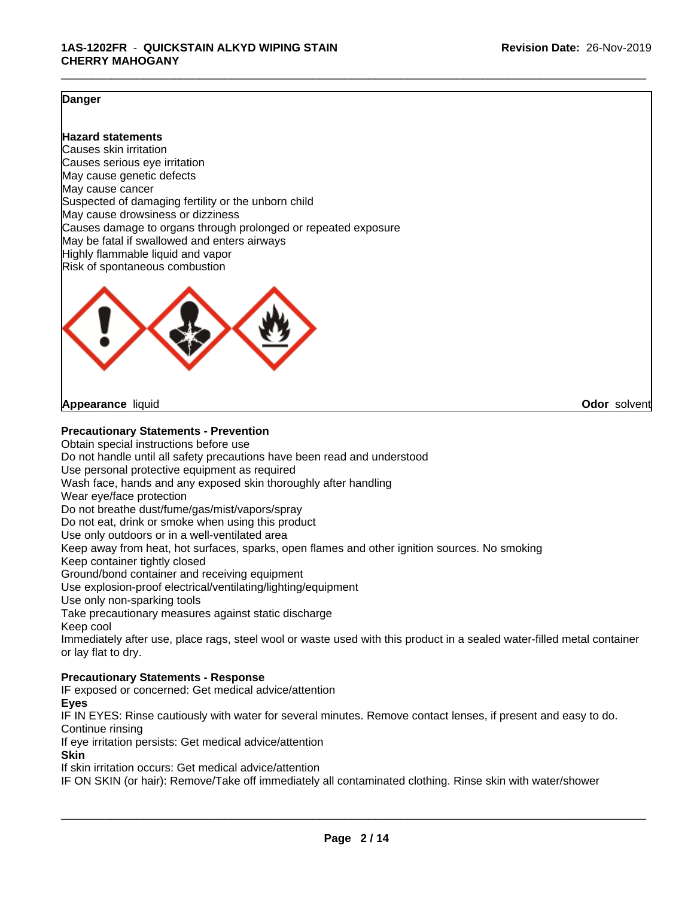## **Danger**

### **Hazard statements**

Causes skin irritation Causes serious eye irritation May cause genetic defects May cause cancer Suspected of damaging fertility or the unborn child May cause drowsiness or dizziness Causes damage to organs through prolonged or repeated exposure May be fatal if swallowed and enters airways Highly flammable liquid and vapor Risk of spontaneous combustion



**Appearance** liquid **Odor** solvent

#### **Precautionary Statements - Prevention**

Obtain special instructions before use Do not handle until all safety precautions have been read and understood Use personal protective equipment as required Wash face, hands and any exposed skin thoroughly after handling Wear eye/face protection Do not breathe dust/fume/gas/mist/vapors/spray Do not eat, drink or smoke when using this product Use only outdoors or in a well-ventilated area Keep away from heat, hot surfaces, sparks, open flames and other ignition sources. No smoking Keep container tightly closed Ground/bond container and receiving equipment Use explosion-proof electrical/ventilating/lighting/equipment Use only non-sparking tools Take precautionary measures against static discharge Keep cool Immediately after use, place rags, steel wool or waste used with this product in a sealed water-filled metal container or lay flat to dry. **Precautionary Statements - Response**

IF exposed or concerned: Get medical advice/attention

**Eyes**

IF IN EYES: Rinse cautiously with water for several minutes. Remove contact lenses, if present and easy to do. Continue rinsing

If eye irritation persists: Get medical advice/attention

**Skin**

If skin irritation occurs: Get medical advice/attention

IF ON SKIN (or hair): Remove/Take off immediately all contaminated clothing. Rinse skin with water/shower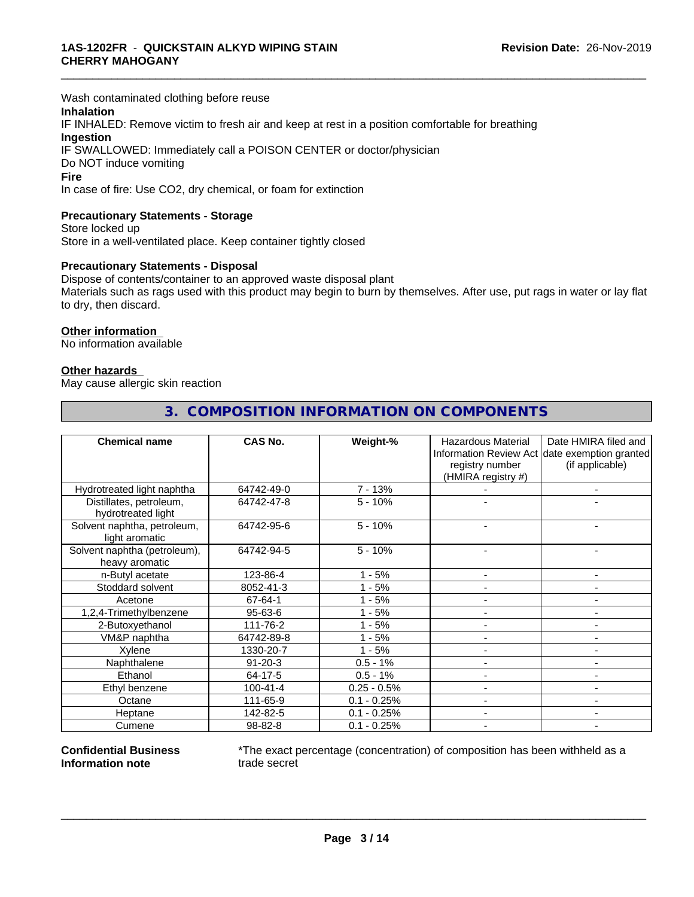Wash contaminated clothing before reuse

## **Inhalation**

IF INHALED: Remove victim to fresh air and keep at rest in a position comfortable for breathing **Ingestion** IF SWALLOWED: Immediately call a POISON CENTER or doctor/physician Do NOT induce vomiting

# **Fire**

In case of fire: Use CO2, dry chemical, or foam for extinction

### **Precautionary Statements - Storage**

Store locked up Store in a well-ventilated place. Keep container tightly closed

#### **Precautionary Statements - Disposal**

Dispose of contents/container to an approved waste disposal plant Materials such as rags used with this product may begin to burn by themselves. After use, put rags in water or lay flat to dry, then discard.

\_\_\_\_\_\_\_\_\_\_\_\_\_\_\_\_\_\_\_\_\_\_\_\_\_\_\_\_\_\_\_\_\_\_\_\_\_\_\_\_\_\_\_\_\_\_\_\_\_\_\_\_\_\_\_\_\_\_\_\_\_\_\_\_\_\_\_\_\_\_\_\_\_\_\_\_\_\_\_\_\_\_\_\_\_\_\_\_\_\_\_\_\_

#### **Other information**

No information available

#### **Other hazards**

May cause allergic skin reaction

| <b>Chemical name</b>         | <b>CAS No.</b> | Weight-%      | Hazardous Material | Date HMIRA filed and                          |
|------------------------------|----------------|---------------|--------------------|-----------------------------------------------|
|                              |                |               |                    | Information Review Act date exemption granted |
|                              |                |               | registry number    | (if applicable)                               |
|                              |                |               | (HMIRA registry #) |                                               |
| Hydrotreated light naphtha   | 64742-49-0     | $7 - 13%$     |                    |                                               |
| Distillates, petroleum,      | 64742-47-8     | $5 - 10%$     |                    |                                               |
| hydrotreated light           |                |               |                    |                                               |
| Solvent naphtha, petroleum,  | 64742-95-6     | $5 - 10%$     |                    |                                               |
| light aromatic               |                |               |                    |                                               |
| Solvent naphtha (petroleum), | 64742-94-5     | $5 - 10%$     |                    |                                               |
| heavy aromatic               |                |               |                    |                                               |
| n-Butyl acetate              | 123-86-4       | $1 - 5%$      |                    |                                               |
| Stoddard solvent             | 8052-41-3      | $1 - 5%$      |                    |                                               |
| Acetone                      | 67-64-1        | $1 - 5%$      |                    | ٠                                             |
| 1,2,4-Trimethylbenzene       | $95 - 63 - 6$  | $1 - 5%$      |                    |                                               |
| 2-Butoxyethanol              | 111-76-2       | $1 - 5%$      |                    | -                                             |
| VM&P naphtha                 | 64742-89-8     | $1 - 5%$      |                    |                                               |
| Xylene                       | 1330-20-7      | $1 - 5%$      |                    | ۰                                             |
| Naphthalene                  | $91 - 20 - 3$  | $0.5 - 1%$    |                    | $\blacksquare$                                |
| Ethanol                      | 64-17-5        | $0.5 - 1%$    |                    | -                                             |
| Ethyl benzene                | $100 - 41 - 4$ | $0.25 - 0.5%$ |                    |                                               |
| Octane                       | 111-65-9       | $0.1 - 0.25%$ |                    |                                               |
| Heptane                      | 142-82-5       | $0.1 - 0.25%$ |                    |                                               |
| Cumene                       | 98-82-8        | $0.1 - 0.25%$ |                    |                                               |

# **3. COMPOSITION INFORMATION ON COMPONENTS**

#### **Confidential Business Information note**

\*The exact percentage (concentration) of composition has been withheld as a trade secret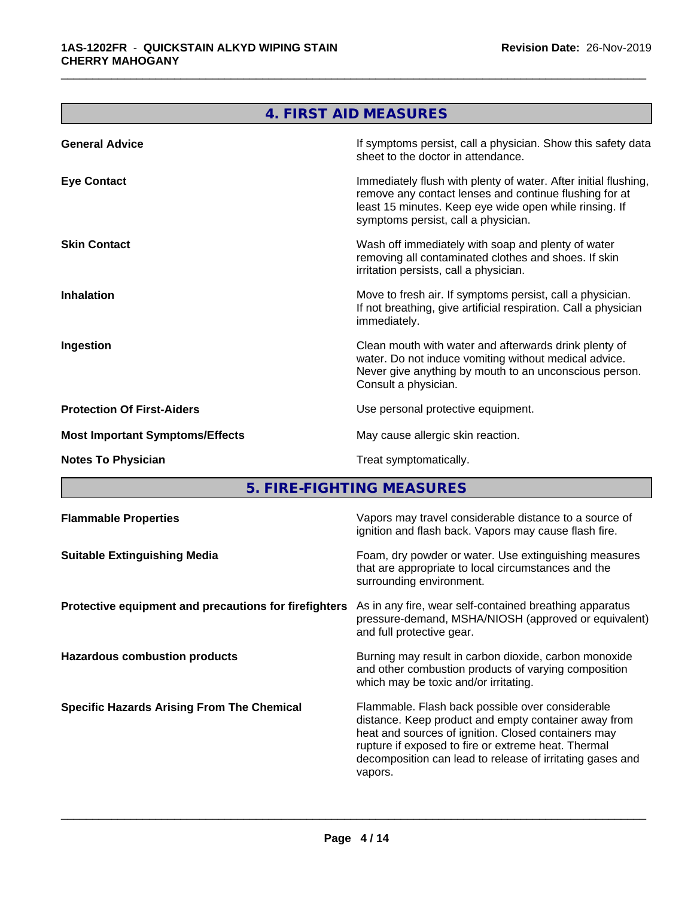<u> Tanzania (h. 1878).</u>

 $\overline{\phantom{0}}$ 

|                                        | 4. FIRST AID MEASURES                                                                                                                                                                                                      |
|----------------------------------------|----------------------------------------------------------------------------------------------------------------------------------------------------------------------------------------------------------------------------|
| <b>General Advice</b>                  | If symptoms persist, call a physician. Show this safety data<br>sheet to the doctor in attendance.                                                                                                                         |
| <b>Eye Contact</b>                     | Immediately flush with plenty of water. After initial flushing,<br>remove any contact lenses and continue flushing for at<br>least 15 minutes. Keep eye wide open while rinsing. If<br>symptoms persist, call a physician. |
| <b>Skin Contact</b>                    | Wash off immediately with soap and plenty of water<br>removing all contaminated clothes and shoes. If skin<br>irritation persists, call a physician.                                                                       |
| <b>Inhalation</b>                      | Move to fresh air. If symptoms persist, call a physician.<br>If not breathing, give artificial respiration. Call a physician<br>immediately.                                                                               |
| Ingestion                              | Clean mouth with water and afterwards drink plenty of<br>water. Do not induce vomiting without medical advice.<br>Never give anything by mouth to an unconscious person.<br>Consult a physician.                           |
| <b>Protection Of First-Aiders</b>      | Use personal protective equipment.                                                                                                                                                                                         |
| <b>Most Important Symptoms/Effects</b> | May cause allergic skin reaction.                                                                                                                                                                                          |
| <b>Notes To Physician</b>              | Treat symptomatically.                                                                                                                                                                                                     |
|                                        | 5. FIRE-FIGHTING MEASURES                                                                                                                                                                                                  |
| <b>Flammable Properties</b>            | Vapors may travel considerable distance to a source of                                                                                                                                                                     |

\_\_\_\_\_\_\_\_\_\_\_\_\_\_\_\_\_\_\_\_\_\_\_\_\_\_\_\_\_\_\_\_\_\_\_\_\_\_\_\_\_\_\_\_\_\_\_\_\_\_\_\_\_\_\_\_\_\_\_\_\_\_\_\_\_\_\_\_\_\_\_\_\_\_\_\_\_\_\_\_\_\_\_\_\_\_\_\_\_\_\_\_\_

|                                                       | ignition and flash back. Vapors may cause flash fire.                                                                                                                                                                                                                                          |
|-------------------------------------------------------|------------------------------------------------------------------------------------------------------------------------------------------------------------------------------------------------------------------------------------------------------------------------------------------------|
| <b>Suitable Extinguishing Media</b>                   | Foam, dry powder or water. Use extinguishing measures<br>that are appropriate to local circumstances and the<br>surrounding environment.                                                                                                                                                       |
| Protective equipment and precautions for firefighters | As in any fire, wear self-contained breathing apparatus<br>pressure-demand, MSHA/NIOSH (approved or equivalent)<br>and full protective gear.                                                                                                                                                   |
| <b>Hazardous combustion products</b>                  | Burning may result in carbon dioxide, carbon monoxide<br>and other combustion products of varying composition<br>which may be toxic and/or irritating.                                                                                                                                         |
| <b>Specific Hazards Arising From The Chemical</b>     | Flammable. Flash back possible over considerable<br>distance. Keep product and empty container away from<br>heat and sources of ignition. Closed containers may<br>rupture if exposed to fire or extreme heat. Thermal<br>decomposition can lead to release of irritating gases and<br>vapors. |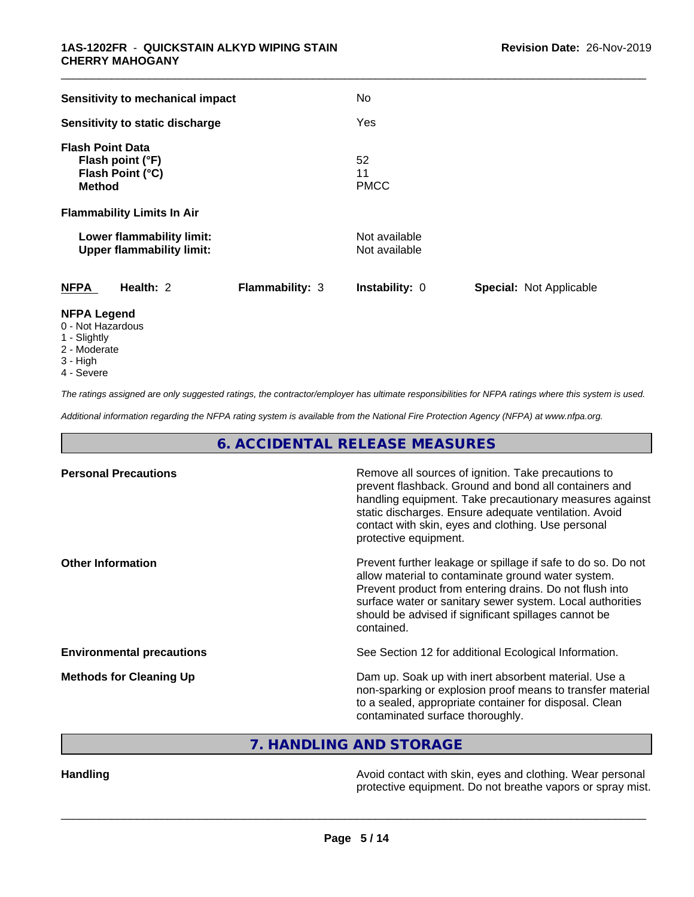| Sensitivity to mechanical impact                                                 |                        | No                             |                         |
|----------------------------------------------------------------------------------|------------------------|--------------------------------|-------------------------|
| Sensitivity to static discharge                                                  |                        | Yes                            |                         |
| <b>Flash Point Data</b><br>Flash point (°F)<br>Flash Point (°C)<br><b>Method</b> |                        | 52<br>11<br><b>PMCC</b>        |                         |
| <b>Flammability Limits In Air</b>                                                |                        |                                |                         |
| Lower flammability limit:<br><b>Upper flammability limit:</b>                    |                        | Not available<br>Not available |                         |
| <b>NFPA</b><br>Health: 2                                                         | <b>Flammability: 3</b> | Instability: 0                 | Special: Not Applicable |
| <b>NFPA Legend</b><br>0 - Not Hazardous<br>.                                     |                        |                                |                         |

- 1 Slightly
- 2 Moderate
- 3 High
- 4 Severe

*The ratings assigned are only suggested ratings, the contractor/employer has ultimate responsibilities for NFPA ratings where this system is used.*

*Additional information regarding the NFPA rating system is available from the National Fire Protection Agency (NFPA) at www.nfpa.org.*

**6. ACCIDENTAL RELEASE MEASURES**

| <b>Personal Precautions</b>      | Remove all sources of ignition. Take precautions to<br>prevent flashback. Ground and bond all containers and<br>handling equipment. Take precautionary measures against<br>static discharges. Ensure adequate ventilation. Avoid<br>contact with skin, eyes and clothing. Use personal<br>protective equipment.  |
|----------------------------------|------------------------------------------------------------------------------------------------------------------------------------------------------------------------------------------------------------------------------------------------------------------------------------------------------------------|
| <b>Other Information</b>         | Prevent further leakage or spillage if safe to do so. Do not<br>allow material to contaminate ground water system.<br>Prevent product from entering drains. Do not flush into<br>surface water or sanitary sewer system. Local authorities<br>should be advised if significant spillages cannot be<br>contained. |
| <b>Environmental precautions</b> | See Section 12 for additional Ecological Information.                                                                                                                                                                                                                                                            |
| <b>Methods for Cleaning Up</b>   | Dam up. Soak up with inert absorbent material. Use a<br>non-sparking or explosion proof means to transfer material<br>to a sealed, appropriate container for disposal. Clean<br>contaminated surface thoroughly.                                                                                                 |

**7. HANDLING AND STORAGE**

Handling **Handling Handling Avoid contact with skin, eyes and clothing. Wear personal** protective equipment. Do not breathe vapors or spray mist.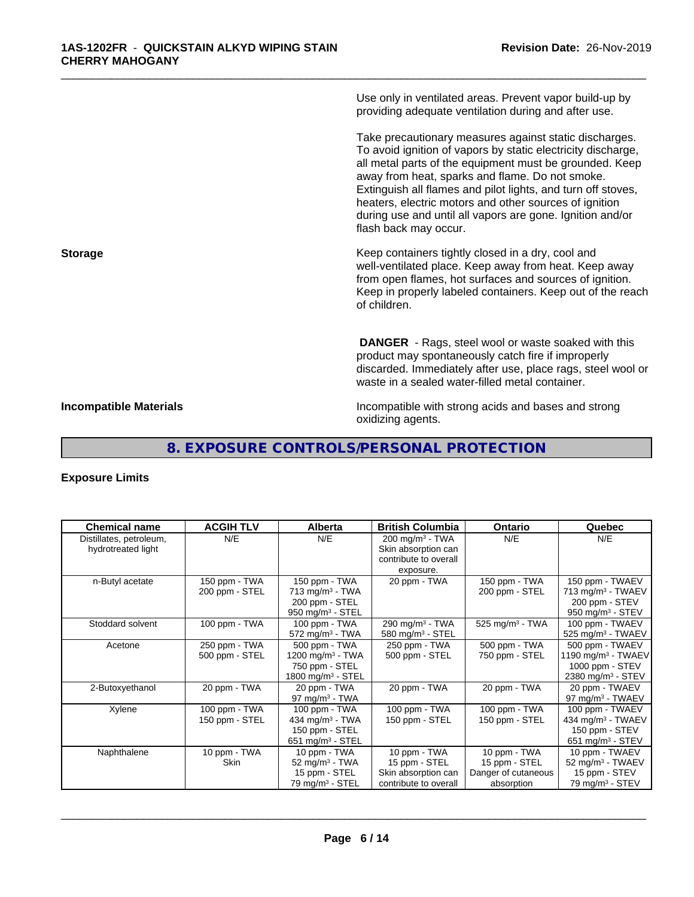Use only in ventilated areas. Prevent vapor build-up by providing adequate ventilation during and after use.

\_\_\_\_\_\_\_\_\_\_\_\_\_\_\_\_\_\_\_\_\_\_\_\_\_\_\_\_\_\_\_\_\_\_\_\_\_\_\_\_\_\_\_\_\_\_\_\_\_\_\_\_\_\_\_\_\_\_\_\_\_\_\_\_\_\_\_\_\_\_\_\_\_\_\_\_\_\_\_\_\_\_\_\_\_\_\_\_\_\_\_\_\_

Take precautionary measures against static discharges. To avoid ignition of vapors by static electricity discharge, all metal parts of the equipment must be grounded. Keep away from heat, sparks and flame. Do not smoke. Extinguish all flames and pilot lights, and turn off stoves, heaters, electric motors and other sources of ignition during use and until all vapors are gone. Ignition and/or flash back may occur.

**Storage Keep containers tightly closed in a dry, cool and get a dry and storage Keep containers tightly closed in a dry, cool and** well-ventilated place. Keep away from heat. Keep away from open flames, hot surfaces and sources of ignition. Keep in properly labeled containers. Keep out of the reach of children.

> **DANGER** - Rags, steel wool or waste soaked with this product may spontaneously catch fire if improperly discarded. Immediately after use, place rags, steel wool or waste in a sealed water-filled metal container.

**Incompatible Materials Incompatible with strong acids and bases and strong** oxidizing agents.

# **8. EXPOSURE CONTROLS/PERSONAL PROTECTION**

## **Exposure Limits**

| <b>Chemical name</b>    | <b>ACGIH TLV</b> | <b>Alberta</b>                | <b>British Columbia</b>      | <b>Ontario</b>                | Quebec                         |
|-------------------------|------------------|-------------------------------|------------------------------|-------------------------------|--------------------------------|
| Distillates, petroleum, | N/E              | N/E                           | 200 mg/m <sup>3</sup> - TWA  | N/E                           | N/E                            |
| hydrotreated light      |                  |                               | Skin absorption can          |                               |                                |
|                         |                  |                               | contribute to overall        |                               |                                |
|                         |                  |                               | exposure.                    |                               |                                |
| n-Butyl acetate         | 150 ppm - TWA    | 150 ppm - TWA                 | 20 ppm - TWA                 | 150 ppm - TWA                 | 150 ppm - TWAEV                |
|                         | 200 ppm - STEL   | $713$ mg/m <sup>3</sup> - TWA |                              | 200 ppm - STEL                | 713 mg/m <sup>3</sup> - TWAEV  |
|                         |                  | 200 ppm - STEL                |                              |                               | 200 ppm - STEV                 |
|                         |                  | 950 mg/m $3 -$ STEL           |                              |                               | 950 mg/m $3 -$ STEV            |
| Stoddard solvent        | 100 ppm - TWA    | 100 ppm - TWA                 | 290 mg/m <sup>3</sup> - TWA  | $525$ mg/m <sup>3</sup> - TWA | 100 ppm - TWAEV                |
|                         |                  | $572$ mg/m <sup>3</sup> - TWA | 580 mg/m <sup>3</sup> - STEL |                               | 525 mg/m <sup>3</sup> - TWAEV  |
| Acetone                 | 250 ppm - TWA    | 500 ppm - TWA                 | 250 ppm - TWA                | 500 ppm - TWA                 | 500 ppm - TWAEV                |
|                         | 500 ppm - STEL   | 1200 mg/m $3$ - TWA           | 500 ppm - STEL               | 750 ppm - STEL                | 1190 mg/m <sup>3</sup> - TWAEV |
|                         |                  | 750 ppm - STEL                |                              |                               | 1000 ppm - STEV                |
|                         |                  | 1800 mg/m $3 -$ STEL          |                              |                               | 2380 mg/m <sup>3</sup> - STEV  |
| 2-Butoxyethanol         | 20 ppm - TWA     | 20 ppm - TWA                  | 20 ppm - TWA                 | 20 ppm - TWA                  | 20 ppm - TWAEV                 |
|                         |                  | 97 mg/m $3$ - TWA             |                              |                               | 97 mg/m <sup>3</sup> - TWAEV   |
| Xylene                  | 100 ppm - TWA    | 100 ppm - TWA                 | 100 ppm - TWA                | 100 ppm - TWA                 | 100 ppm - TWAEV                |
|                         | 150 ppm - STEL   | 434 mg/m $3$ - TWA            | 150 ppm - STEL               | 150 ppm - STEL                | 434 mg/m <sup>3</sup> - TWAEV  |
|                         |                  | 150 ppm - STEL                |                              |                               | 150 ppm - STEV                 |
|                         |                  | 651 mg/m $3 -$ STEL           |                              |                               | 651 mg/m <sup>3</sup> - STEV   |
| Naphthalene             | 10 ppm - $TWA$   | 10 ppm - TWA                  | 10 ppm - TWA                 | 10 ppm - TWA                  | 10 ppm - TWAEV                 |
|                         | Skin             | 52 mg/m $3$ - TWA             | 15 ppm - STEL                | 15 ppm - STEL                 | 52 mg/m <sup>3</sup> - TWAEV   |
|                         |                  | 15 ppm - STEL                 | Skin absorption can          | Danger of cutaneous           | 15 ppm - STEV                  |
|                         |                  | 79 mg/m <sup>3</sup> - STEL   | contribute to overall        | absorption                    | 79 mg/m $3 -$ STEV             |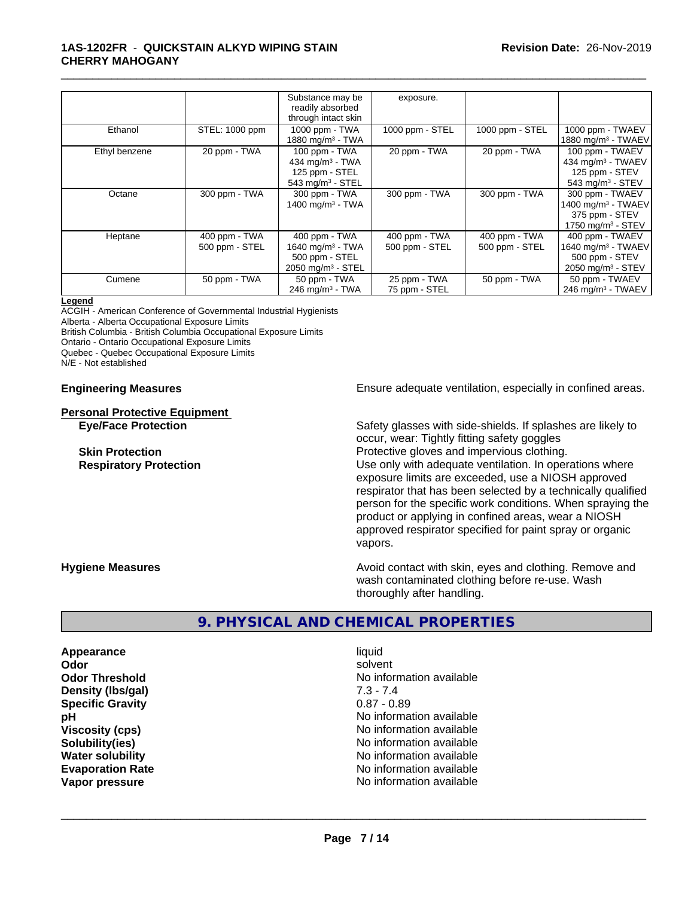#### **1AS-1202FR** - **QUICKSTAIN ALKYD WIPING STAIN CHERRY MAHOGANY**

|               |                | Substance may be                | exposure.       |                 |                                |
|---------------|----------------|---------------------------------|-----------------|-----------------|--------------------------------|
|               |                | readily absorbed                |                 |                 |                                |
|               |                | through intact skin             |                 |                 |                                |
| Ethanol       | STEL: 1000 ppm | 1000 ppm - TWA                  | 1000 ppm - STEL | 1000 ppm - STEL | 1000 ppm - TWAEV               |
|               |                | 1880 mg/m $3$ - TWA             |                 |                 | 1880 mg/m <sup>3</sup> - TWAEV |
| Ethyl benzene | 20 ppm - TWA   | 100 ppm - TWA                   | 20 ppm - TWA    | 20 ppm - TWA    | 100 ppm - TWAEV                |
|               |                | 434 mg/m $3$ - TWA              |                 |                 | 434 mg/m $3$ - TWAEV           |
|               |                | 125 ppm - STEL                  |                 |                 | 125 ppm - STEV                 |
|               |                | 543 mg/m <sup>3</sup> - STEL    |                 |                 | 543 mg/m $3 -$ STEV            |
| Octane        | 300 ppm - TWA  | 300 ppm - TWA                   | 300 ppm - TWA   | 300 ppm - TWA   | 300 ppm - TWAEV                |
|               |                | 1400 mg/m $3$ - TWA             |                 |                 | 1400 mg/m <sup>3</sup> - TWAEV |
|               |                |                                 |                 |                 | 375 ppm - STEV                 |
|               |                |                                 |                 |                 | 1750 mg/m $3 -$ STEV           |
| Heptane       | 400 ppm - TWA  | 400 ppm - TWA                   | 400 ppm - TWA   | 400 ppm - TWA   | 400 ppm - TWAEV                |
|               | 500 ppm - STEL | 1640 mg/m $3$ - TWA             | 500 ppm - STEL  | 500 ppm - STEL  | 1640 mg/m <sup>3</sup> - TWAEV |
|               |                | 500 ppm - STEL                  |                 |                 | 500 ppm - STEV                 |
|               |                | $2050$ mg/m <sup>3</sup> - STEL |                 |                 | 2050 mg/m <sup>3</sup> - STEV  |
| Cumene        | 50 ppm - TWA   | 50 ppm - TWA                    | 25 ppm - TWA    | 50 ppm - TWA    | 50 ppm - TWAEV                 |
|               |                | $246$ mg/m <sup>3</sup> - TWA   | 75 ppm - STEL   |                 | 246 mg/m $3$ - TWAEV           |

\_\_\_\_\_\_\_\_\_\_\_\_\_\_\_\_\_\_\_\_\_\_\_\_\_\_\_\_\_\_\_\_\_\_\_\_\_\_\_\_\_\_\_\_\_\_\_\_\_\_\_\_\_\_\_\_\_\_\_\_\_\_\_\_\_\_\_\_\_\_\_\_\_\_\_\_\_\_\_\_\_\_\_\_\_\_\_\_\_\_\_\_\_

#### **Legend**

ACGIH - American Conference of Governmental Industrial Hygienists Alberta - Alberta Occupational Exposure Limits British Columbia - British Columbia Occupational Exposure Limits

Ontario - Ontario Occupational Exposure Limits

Quebec - Quebec Occupational Exposure Limits

N/E - Not established

**Personal Protective Equipment**

**Engineering Measures Ensure** Ensure adequate ventilation, especially in confined areas.

**Eye/Face Protection** Safety glasses with side-shields. If splashes are likely to occur, wear: Tightly fitting safety goggles **Skin Protection Protection Protective gloves and impervious clothing. Respiratory Protection Number 1** (Use only with adequate ventilation. In operations where exposure limits are exceeded, use a NIOSH approved respirator that has been selected by a technically qualified person for the specific work conditions. When spraying the product or applying in confined areas, wear a NIOSH approved respirator specified for paint spray or organic vapors.

**Hygiene Measures Avoid contact with skin, eyes and clothing. Remove and Avoid contact with skin, eyes and clothing. Remove and** wash contaminated clothing before re-use. Wash thoroughly after handling.

# **9. PHYSICAL AND CHEMICAL PROPERTIES**

**Appearance** liquid **Odor** solvent **Density (lbs/gal)** 7.3 - 7.4<br> **Specific Gravity** 6.87 - 0.89 **Specific Gravity** 

**Odor Threshold No information available No information available pH** No information available **Viscosity (cps)** No information available in the Most of the Most of the Most of the Most of the Most of the Most of the Most of the Most of the Most of the Most of the Most of the Most of the Most of the Most of the Most **Solubility(ies)** No information available **Water solubility** No information available **Evaporation Rate No information available No information available Vapor pressure** No information available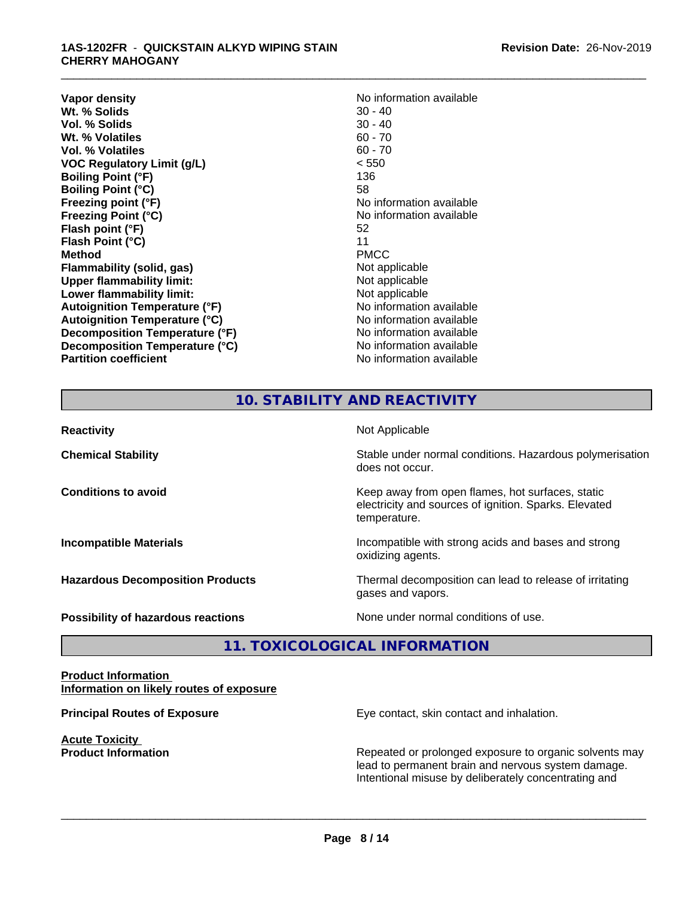#### **1AS-1202FR** - **QUICKSTAIN ALKYD WIPING STAIN CHERRY MAHOGANY**

**Vapor density**<br> **We Solids**<br>
We Solids
20 - 40 **Wt. % Solids** 30 - 40<br> **Vol. % Solids** 30 - 40 **Vol. % Solids** 30 - 40<br> **Wt. % Volatiles** 60 - 70 **Wt. % Volatiles Vol. % Volatiles** 60 - 70 **VOC Regulatory Limit (g/L)** < 550 **Boiling Point (°F)** 136 **Boiling Point (°C)** 58 **Freezing point (°F)** The state of the state of the No information available **Freezing Point (°C)** and **COV** No information available **Flash point (°F)** 52 **Flash Point (°C)** 11 **Method** PMCC **Flammability (solid, gas)**<br> **Upper flammability limit:**<br>
Upper flammability limit:<br>  $\begin{array}{ccc}\n\bullet & \bullet & \bullet \\
\bullet & \bullet & \bullet\n\end{array}$ **Upper flammability limit: Lower flammability limit:**<br> **Autoignition Temperature (°F)** Not applicable available and the Mustafable and Mustafable and Mustafable and Mu **Autoignition Temperature (°F) Autoignition Temperature (°C)** No information available **Decomposition Temperature (°F)** No information available **Decomposition Temperature (°C)** No information available **Partition coefficient** No information available

\_\_\_\_\_\_\_\_\_\_\_\_\_\_\_\_\_\_\_\_\_\_\_\_\_\_\_\_\_\_\_\_\_\_\_\_\_\_\_\_\_\_\_\_\_\_\_\_\_\_\_\_\_\_\_\_\_\_\_\_\_\_\_\_\_\_\_\_\_\_\_\_\_\_\_\_\_\_\_\_\_\_\_\_\_\_\_\_\_\_\_\_\_

# **10. STABILITY AND REACTIVITY**

| <b>Reactivity</b>                         | Not Applicable                                                                                                            |
|-------------------------------------------|---------------------------------------------------------------------------------------------------------------------------|
| <b>Chemical Stability</b>                 | Stable under normal conditions. Hazardous polymerisation<br>does not occur.                                               |
| <b>Conditions to avoid</b>                | Keep away from open flames, hot surfaces, static<br>electricity and sources of ignition. Sparks. Elevated<br>temperature. |
| <b>Incompatible Materials</b>             | Incompatible with strong acids and bases and strong<br>oxidizing agents.                                                  |
| <b>Hazardous Decomposition Products</b>   | Thermal decomposition can lead to release of irritating<br>gases and vapors.                                              |
| <b>Possibility of hazardous reactions</b> | None under normal conditions of use.                                                                                      |

# **11. TOXICOLOGICAL INFORMATION**

#### **Product Information Information on likely routes of exposure**

**Acute Toxicity** 

**Principal Routes of Exposure Exposure** Eye contact, skin contact and inhalation.

**Product Information Repeated or prolonged exposure to organic solvents may** Repeated or prolonged exposure to organic solvents may lead to permanent brain and nervous system damage. Intentional misuse by deliberately concentrating and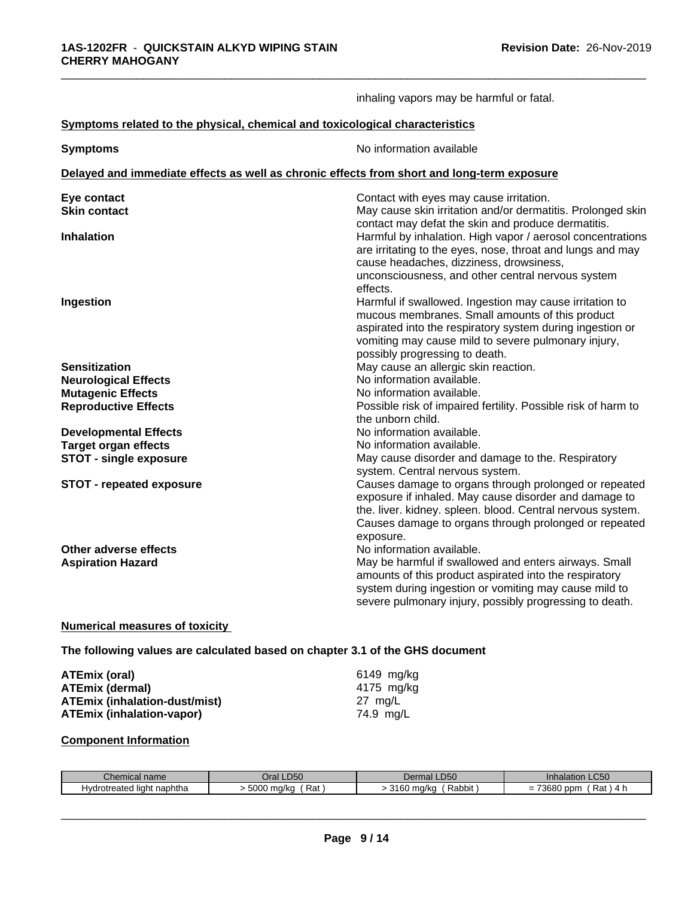|                                                                                            | inhaling vapors may be harmful or fatal.                                                                                                                                                                                                                                              |
|--------------------------------------------------------------------------------------------|---------------------------------------------------------------------------------------------------------------------------------------------------------------------------------------------------------------------------------------------------------------------------------------|
| Symptoms related to the physical, chemical and toxicological characteristics               |                                                                                                                                                                                                                                                                                       |
| <b>Symptoms</b>                                                                            | No information available                                                                                                                                                                                                                                                              |
| Delayed and immediate effects as well as chronic effects from short and long-term exposure |                                                                                                                                                                                                                                                                                       |
| Eye contact<br><b>Skin contact</b>                                                         | Contact with eyes may cause irritation.<br>May cause skin irritation and/or dermatitis. Prolonged skin<br>contact may defat the skin and produce dermatitis.                                                                                                                          |
| <b>Inhalation</b>                                                                          | Harmful by inhalation. High vapor / aerosol concentrations<br>are irritating to the eyes, nose, throat and lungs and may<br>cause headaches, dizziness, drowsiness,<br>unconsciousness, and other central nervous system<br>effects.                                                  |
| Ingestion                                                                                  | Harmful if swallowed. Ingestion may cause irritation to<br>mucous membranes. Small amounts of this product<br>aspirated into the respiratory system during ingestion or<br>vomiting may cause mild to severe pulmonary injury,<br>possibly progressing to death.                      |
| <b>Sensitization</b>                                                                       | May cause an allergic skin reaction.                                                                                                                                                                                                                                                  |
| <b>Neurological Effects</b>                                                                | No information available.                                                                                                                                                                                                                                                             |
| <b>Mutagenic Effects</b><br><b>Reproductive Effects</b>                                    | No information available.<br>Possible risk of impaired fertility. Possible risk of harm to                                                                                                                                                                                            |
|                                                                                            | the unborn child.                                                                                                                                                                                                                                                                     |
| <b>Developmental Effects</b>                                                               | No information available.                                                                                                                                                                                                                                                             |
| <b>Target organ effects</b>                                                                | No information available.                                                                                                                                                                                                                                                             |
| <b>STOT - single exposure</b>                                                              | May cause disorder and damage to the. Respiratory                                                                                                                                                                                                                                     |
| <b>STOT - repeated exposure</b>                                                            | system. Central nervous system.<br>Causes damage to organs through prolonged or repeated<br>exposure if inhaled. May cause disorder and damage to<br>the. liver. kidney. spleen. blood. Central nervous system.<br>Causes damage to organs through prolonged or repeated<br>exposure. |
| Other adverse effects<br><b>Aspiration Hazard</b>                                          | No information available.<br>May be harmful if swallowed and enters airways. Small<br>amounts of this product aspirated into the respiratory<br>system during ingestion or vomiting may cause mild to<br>severe pulmonary injury, possibly progressing to death.                      |

#### **Numerical measures of toxicity**

**The following values are calculated based on chapter 3.1 of the GHS document**

| ATEmix (oral)                        | 6149 mg/ka        |
|--------------------------------------|-------------------|
| <b>ATEmix (dermal)</b>               | 4175 mg/kg        |
| <b>ATEmix (inhalation-dust/mist)</b> | $27 \text{ mg/L}$ |
| ATEmix (inhalation-vapor)            | 74.9 ma/L         |

### **Component Information**

| $\sim$                                                    | D50                  | $- - -$                                      | Inhalation LC50                                                              |
|-----------------------------------------------------------|----------------------|----------------------------------------------|------------------------------------------------------------------------------|
| Chemical name                                             | )ral                 | Dermal LD50                                  |                                                                              |
| $\cdots$<br><sup>+</sup> naphtha<br>Hydrotreated<br>liaht | 5000<br>Rai<br>ma/ko | $\sim$ . $\sim$<br>Rabbit<br>ma/ka<br>uu<br> | 70000<br>ppm<br>Rat<br>$\overline{\phantom{0}}$<br>$\overline{ }$<br>=<br>יי |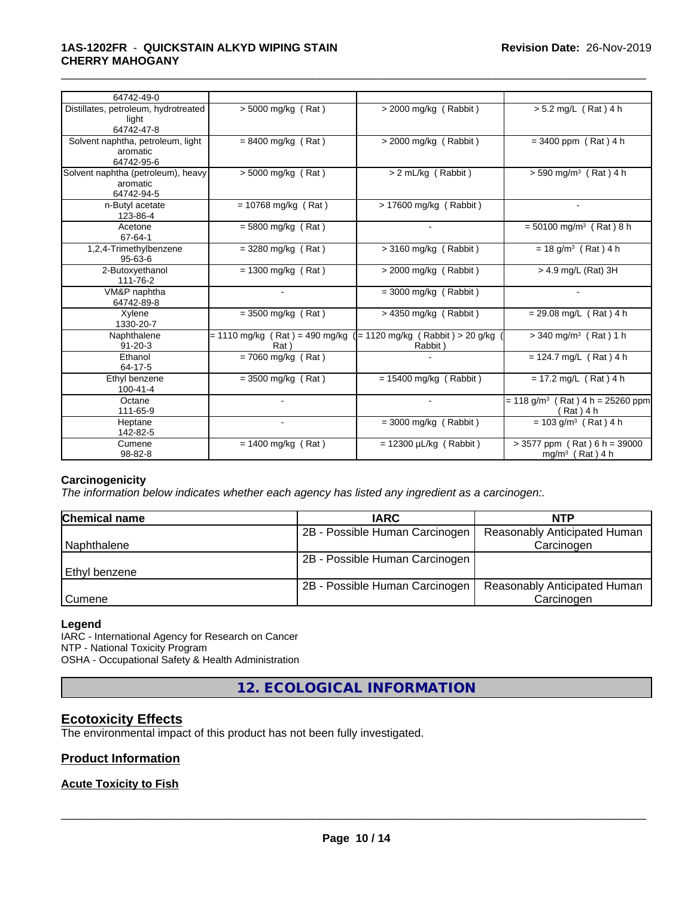## **1AS-1202FR** - **QUICKSTAIN ALKYD WIPING STAIN CHERRY MAHOGANY**

| 64742-49-0                                                   |                                                  |                                             |                                                                 |
|--------------------------------------------------------------|--------------------------------------------------|---------------------------------------------|-----------------------------------------------------------------|
| Distillates, petroleum, hydrotreated<br>light<br>64742-47-8  | $> 5000$ mg/kg (Rat)                             | $>$ 2000 mg/kg (Rabbit)                     | $> 5.2$ mg/L (Rat) 4 h                                          |
| Solvent naphtha, petroleum, light<br>aromatic<br>64742-95-6  | $= 8400$ mg/kg (Rat)                             | $>$ 2000 mg/kg (Rabbit)                     | $= 3400$ ppm (Rat) 4 h                                          |
| Solvent naphtha (petroleum), heavy<br>aromatic<br>64742-94-5 | $> 5000$ mg/kg (Rat)                             | $> 2$ mL/kg (Rabbit)                        | $> 590$ mg/m <sup>3</sup> (Rat) 4 h                             |
| n-Butyl acetate<br>123-86-4                                  | $= 10768$ mg/kg (Rat)                            | > 17600 mg/kg (Rabbit)                      |                                                                 |
| Acetone<br>67-64-1                                           | $= 5800$ mg/kg (Rat)                             |                                             | $= 50100$ mg/m <sup>3</sup> (Rat) 8 h                           |
| 1,2,4-Trimethylbenzene<br>$95 - 63 - 6$                      | $=$ 3280 mg/kg (Rat)                             | $>$ 3160 mg/kg (Rabbit)                     | $= 18$ g/m <sup>3</sup> (Rat) 4 h                               |
| 2-Butoxyethanol<br>111-76-2                                  | $= 1300$ mg/kg (Rat)                             | $>$ 2000 mg/kg (Rabbit)                     | > 4.9 mg/L (Rat) 3H                                             |
| VM&P naphtha<br>64742-89-8                                   |                                                  | $=$ 3000 mg/kg (Rabbit)                     |                                                                 |
| Xylene<br>1330-20-7                                          | $=$ 3500 mg/kg (Rat)                             | $>$ 4350 mg/kg (Rabbit)                     | $= 29.08$ mg/L (Rat) 4 h                                        |
| Naphthalene<br>$91 - 20 - 3$                                 | $= 1110 \text{ mg/kg}$ (Rat) = 490 mg/kg<br>Rat) | (= 1120 mg/kg (Rabbit) > 20 g/kg<br>Rabbit) | $>$ 340 mg/m <sup>3</sup> (Rat) 1 h                             |
| Ethanol<br>64-17-5                                           | $= 7060$ mg/kg (Rat)                             |                                             | = 124.7 mg/ $\overline{L}$ (Rat) 4 h                            |
| Ethyl benzene<br>100-41-4                                    | $= 3500$ mg/kg (Rat)                             | $= 15400$ mg/kg (Rabbit)                    | $= 17.2$ mg/L (Rat) 4 h                                         |
| Octane<br>111-65-9                                           |                                                  |                                             | $= 118$ g/m <sup>3</sup> (Rat) 4 h = 25260 ppm<br>$(Rat)$ 4 h   |
| Heptane<br>142-82-5                                          |                                                  | $=$ 3000 mg/kg (Rabbit)                     | $= 103$ g/m <sup>3</sup> (Rat) 4 h                              |
| Cumene<br>98-82-8                                            | $= 1400$ mg/kg (Rat)                             | $= 12300 \mu L/kg$ (Rabbit)                 | $> 3577$ ppm (Rat) 6 h = 39000<br>mg/m <sup>3</sup> (Rat) $4 h$ |

\_\_\_\_\_\_\_\_\_\_\_\_\_\_\_\_\_\_\_\_\_\_\_\_\_\_\_\_\_\_\_\_\_\_\_\_\_\_\_\_\_\_\_\_\_\_\_\_\_\_\_\_\_\_\_\_\_\_\_\_\_\_\_\_\_\_\_\_\_\_\_\_\_\_\_\_\_\_\_\_\_\_\_\_\_\_\_\_\_\_\_\_\_

## **Carcinogenicity**

*The information below indicateswhether each agency has listed any ingredient as a carcinogen:.*

| <b>Chemical name</b> | <b>IARC</b>                    | <b>NTP</b>                   |
|----------------------|--------------------------------|------------------------------|
|                      | 2B - Possible Human Carcinogen | Reasonably Anticipated Human |
| Naphthalene          |                                | Carcinogen                   |
|                      | 2B - Possible Human Carcinogen |                              |
| Ethyl benzene        |                                |                              |
|                      | 2B - Possible Human Carcinogen | Reasonably Anticipated Human |
| l Cumene             |                                | Carcinogen                   |

#### **Legend**

IARC - International Agency for Research on Cancer NTP - National Toxicity Program OSHA - Occupational Safety & Health Administration

**12. ECOLOGICAL INFORMATION**

# **Ecotoxicity Effects**

The environmental impact of this product has not been fully investigated.

## **Product Information**

## **Acute Toxicity to Fish**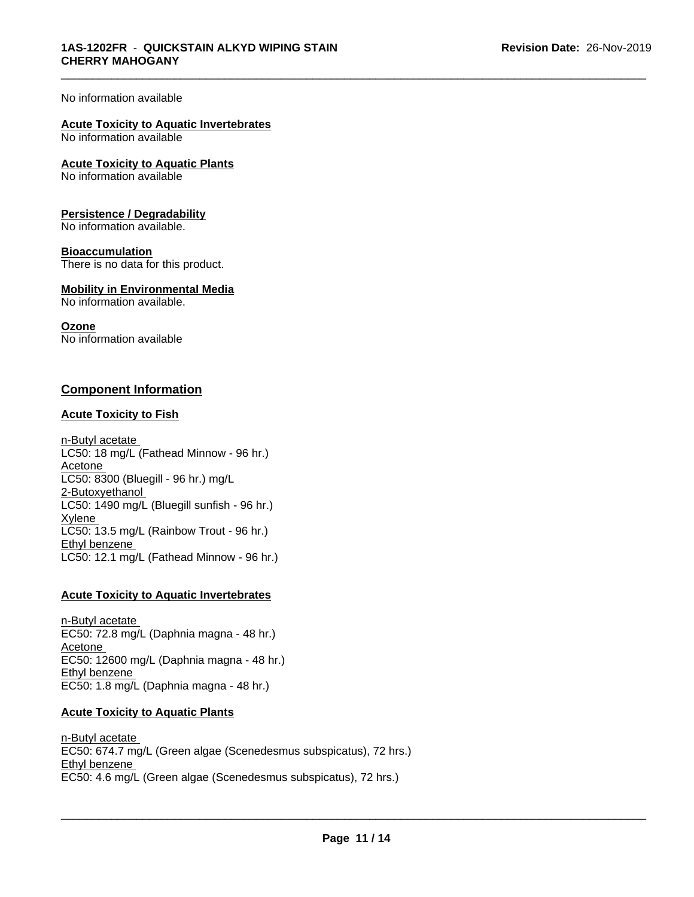#### No information available

#### **Acute Toxicity to Aquatic Invertebrates** No information available

**Acute Toxicity to Aquatic Plants** No information available

#### **Persistence / Degradability**

No information available.

#### **Bioaccumulation**

There is no data for this product.

#### **Mobility in Environmental Media**

No information available.

#### **Ozone**

No information available

## **Component Information**

#### **Acute Toxicity to Fish**

n-Butyl acetate LC50: 18 mg/L (Fathead Minnow - 96 hr.) Acetone LC50: 8300 (Bluegill - 96 hr.) mg/L 2-Butoxyethanol LC50: 1490 mg/L (Bluegill sunfish - 96 hr.) **Xylene** LC50: 13.5 mg/L (Rainbow Trout - 96 hr.) Ethyl benzene LC50: 12.1 mg/L (Fathead Minnow - 96 hr.)

#### **Acute Toxicity to Aquatic Invertebrates**

n-Butyl acetate EC50: 72.8 mg/L (Daphnia magna - 48 hr.) Acetone EC50: 12600 mg/L (Daphnia magna - 48 hr.) Ethyl benzene EC50: 1.8 mg/L (Daphnia magna - 48 hr.)

### **Acute Toxicity to Aquatic Plants**

n-Butyl acetate EC50: 674.7 mg/L (Green algae (Scenedesmus subspicatus), 72 hrs.) Ethyl benzene \_\_\_\_\_\_\_\_\_\_\_\_\_\_\_\_\_\_\_\_\_\_\_\_\_\_\_\_\_\_\_\_\_\_\_\_\_\_\_\_\_\_\_\_\_\_\_\_\_\_\_\_\_\_\_\_\_\_\_\_\_\_\_\_\_\_\_\_\_\_\_\_\_\_\_\_\_\_\_\_\_\_\_\_\_\_\_\_\_\_\_\_\_ EC50: 4.6 mg/L (Green algae (Scenedesmus subspicatus), 72 hrs.)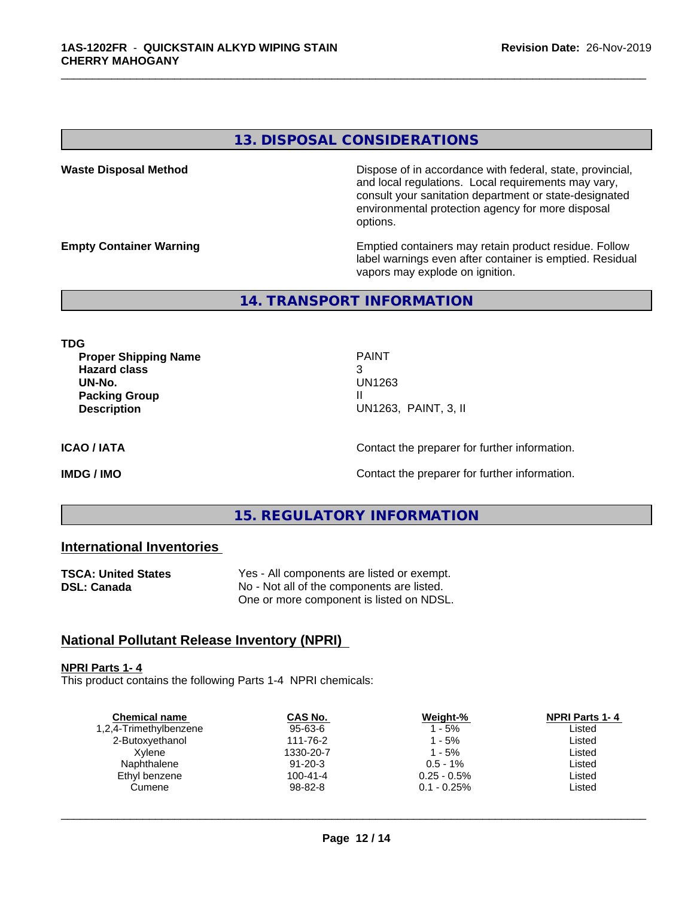# **13. DISPOSAL CONSIDERATIONS**

**Waste Disposal Method Dispose of in accordance with federal, state, provincial,** and local regulations. Local requirements may vary, consult your sanitation department or state-designated environmental protection agency for more disposal options.

**Empty Container Warning <b>Emptied** Containers may retain product residue. Follow label warnings even after container is emptied. Residual vapors may explode on ignition.

**14. TRANSPORT INFORMATION**

**TDG**

**Proper Shipping Name PAINT Hazard class** 3 **UN-No.** UN1263 **Packing Group III Description** UN1263, PAINT, 3, II

\_\_\_\_\_\_\_\_\_\_\_\_\_\_\_\_\_\_\_\_\_\_\_\_\_\_\_\_\_\_\_\_\_\_\_\_\_\_\_\_\_\_\_\_\_\_\_\_\_\_\_\_\_\_\_\_\_\_\_\_\_\_\_\_\_\_\_\_\_\_\_\_\_\_\_\_\_\_\_\_\_\_\_\_\_\_\_\_\_\_\_\_\_

**ICAO / IATA** Contact the preparer for further information.

**IMDG / IMO Contact the preparer for further information.** 

# **15. REGULATORY INFORMATION**

# **International Inventories**

| <b>TSCA: United States</b> | Yes - All components are listed or exempt. |  |  |
|----------------------------|--------------------------------------------|--|--|
| DSL: Canada                | No - Not all of the components are listed. |  |  |
|                            | One or more component is listed on NDSL.   |  |  |

# **National Pollutant Release Inventory (NPRI)**

#### **NPRI Parts 1- 4**

This product contains the following Parts 1-4 NPRI chemicals:

| <b>Chemical name</b>   | CAS No.       | Weight-%       | <b>NPRI Parts 1-4</b> |
|------------------------|---------------|----------------|-----------------------|
| 1,2,4-Trimethylbenzene | 95-63-6       | 1 - 5%         | ∟isted                |
| 2-Butoxyethanol        | 111-76-2      | 1 - 5%         | Listed                |
| Xvlene                 | 1330-20-7     | 1 - 5%         | Listed                |
| Naphthalene            | $91 - 20 - 3$ | $0.5 - 1\%$    | Listed                |
| Ethyl benzene          | 100-41-4      | $0.25 - 0.5\%$ | Listed                |
| Cumene                 | 98-82-8       | $0.1 - 0.25\%$ | ∟isted                |
|                        |               |                |                       |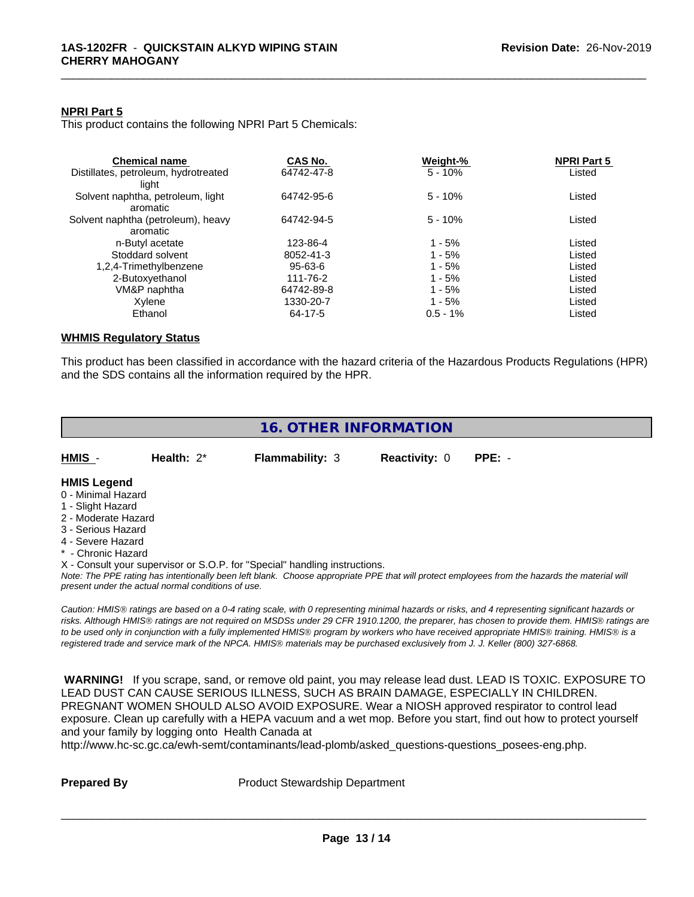#### **NPRI Part 5**

This product contains the following NPRI Part 5 Chemicals:

| <b>Chemical name</b>                 | CAS No.    | Weight-%    | <b>NPRI Part 5</b> |  |
|--------------------------------------|------------|-------------|--------------------|--|
| Distillates, petroleum, hydrotreated | 64742-47-8 | $5 - 10%$   | Listed             |  |
| liaht                                |            |             |                    |  |
| Solvent naphtha, petroleum, light    | 64742-95-6 | $5 - 10%$   | Listed             |  |
| aromatic                             |            |             |                    |  |
| Solvent naphtha (petroleum), heavy   | 64742-94-5 | $5 - 10%$   | Listed             |  |
| aromatic                             |            |             |                    |  |
| n-Butyl acetate                      | 123-86-4   | $1 - 5%$    | Listed             |  |
| Stoddard solvent                     | 8052-41-3  | $1 - 5%$    | Listed             |  |
| 1,2,4-Trimethylbenzene               | 95-63-6    | $1 - 5%$    | Listed             |  |
| 2-Butoxyethanol                      | 111-76-2   | $1 - 5%$    | Listed             |  |
| VM&P naphtha                         | 64742-89-8 | $1 - 5%$    | Listed             |  |
| Xylene                               | 1330-20-7  | $1 - 5%$    | Listed             |  |
| Ethanol                              | 64-17-5    | $0.5 - 1\%$ | Listed             |  |

\_\_\_\_\_\_\_\_\_\_\_\_\_\_\_\_\_\_\_\_\_\_\_\_\_\_\_\_\_\_\_\_\_\_\_\_\_\_\_\_\_\_\_\_\_\_\_\_\_\_\_\_\_\_\_\_\_\_\_\_\_\_\_\_\_\_\_\_\_\_\_\_\_\_\_\_\_\_\_\_\_\_\_\_\_\_\_\_\_\_\_\_\_

# **WHMIS Regulatory Status**

This product has been classified in accordance with the hazard criteria of the Hazardous Products Regulations (HPR) and the SDS contains all the information required by the HPR.

|                                                                                                                                                       |                                                    | <b>16. OTHER INFORMATION</b>                                                                                                                                                                                                       |                      |                                                                                                                                                                                                                                                                                                                                                                                                                                             |
|-------------------------------------------------------------------------------------------------------------------------------------------------------|----------------------------------------------------|------------------------------------------------------------------------------------------------------------------------------------------------------------------------------------------------------------------------------------|----------------------|---------------------------------------------------------------------------------------------------------------------------------------------------------------------------------------------------------------------------------------------------------------------------------------------------------------------------------------------------------------------------------------------------------------------------------------------|
| HMIS -                                                                                                                                                | Health: 2*                                         | <b>Flammability: 3</b>                                                                                                                                                                                                             | <b>Reactivity: 0</b> | PPE: -                                                                                                                                                                                                                                                                                                                                                                                                                                      |
| <b>HMIS Legend</b><br>0 - Minimal Hazard<br>1 - Slight Hazard<br>2 - Moderate Hazard<br>3 - Serious Hazard<br>4 - Severe Hazard<br>* - Chronic Hazard | present under the actual normal conditions of use. | X - Consult your supervisor or S.O.P. for "Special" handling instructions.                                                                                                                                                         |                      | Note: The PPE rating has intentionally been left blank. Choose appropriate PPE that will protect employees from the hazards the material will                                                                                                                                                                                                                                                                                               |
|                                                                                                                                                       |                                                    |                                                                                                                                                                                                                                    |                      | Caution: HMIS® ratings are based on a 0-4 rating scale, with 0 representing minimal hazards or risks, and 4 representing significant hazards or<br>risks. Although HMIS® ratings are not required on MSDSs under 29 CFR 1910.1200, the preparer, has chosen to provide them. HMIS® ratings are<br>to be used only in conjunction with a fully implemented HMIS® program by workers who have received appropriate HMIS® training. HMIS® is a |
|                                                                                                                                                       | and your family by logging onto Health Canada at   | registered trade and service mark of the NPCA. HMIS® materials may be purchased exclusively from J. J. Keller (800) 327-6868.<br>http://www.hc-sc.gc.ca/ewh-semt/contaminants/lead-plomb/asked_questions-questions_posees-eng.php. |                      | WARNING! If you scrape, sand, or remove old paint, you may release lead dust. LEAD IS TOXIC. EXPOSURE TO<br>LEAD DUST CAN CAUSE SERIOUS ILLNESS, SUCH AS BRAIN DAMAGE, ESPECIALLY IN CHILDREN.<br>PREGNANT WOMEN SHOULD ALSO AVOID EXPOSURE. Wear a NIOSH approved respirator to control lead<br>exposure. Clean up carefully with a HEPA vacuum and a wet mop. Before you start, find out how to protect yourself                          |
|                                                                                                                                                       |                                                    |                                                                                                                                                                                                                                    |                      |                                                                                                                                                                                                                                                                                                                                                                                                                                             |

**Prepared By** Product Stewardship Department